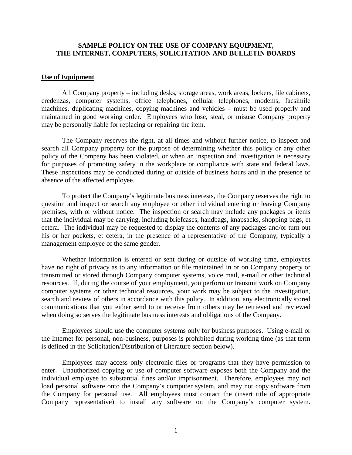## **SAMPLE POLICY ON THE USE OF COMPANY EQUIPMENT, THE INTERNET, COMPUTERS, SOLICITATION AND BULLETIN BOARDS**

#### **Use of Equipment**

 All Company property – including desks, storage areas, work areas, lockers, file cabinets, credenzas, computer systems, office telephones, cellular telephones, modems, facsimile machines, duplicating machines, copying machines and vehicles – must be used properly and maintained in good working order. Employees who lose, steal, or misuse Company property may be personally liable for replacing or repairing the item.

 The Company reserves the right, at all times and without further notice, to inspect and search all Company property for the purpose of determining whether this policy or any other policy of the Company has been violated, or when an inspection and investigation is necessary for purposes of promoting safety in the workplace or compliance with state and federal laws. These inspections may be conducted during or outside of business hours and in the presence or absence of the affected employee.

 To protect the Company's legitimate business interests, the Company reserves the right to question and inspect or search any employee or other individual entering or leaving Company premises, with or without notice. The inspection or search may include any packages or items that the individual may be carrying, including briefcases, handbags, knapsacks, shopping bags, et cetera. The individual may be requested to display the contents of any packages and/or turn out his or her pockets, et cetera, in the presence of a representative of the Company, typically a management employee of the same gender.

 Whether information is entered or sent during or outside of working time, employees have no right of privacy as to any information or file maintained in or on Company property or transmitted or stored through Company computer systems, voice mail, e-mail or other technical resources. If, during the course of your employment, you perform or transmit work on Company computer systems or other technical resources, your work may be subject to the investigation, search and review of others in accordance with this policy. In addition, any electronically stored communications that you either send to or receive from others may be retrieved and reviewed when doing so serves the legitimate business interests and obligations of the Company.

 Employees should use the computer systems only for business purposes. Using e-mail or the Internet for personal, non-business, purposes is prohibited during working time (as that term is defined in the Solicitation/Distribution of Literature section below).

 Employees may access only electronic files or programs that they have permission to enter. Unauthorized copying or use of computer software exposes both the Company and the individual employee to substantial fines and/or imprisonment. Therefore, employees may not load personal software onto the Company's computer system, and may not copy software from the Company for personal use. All employees must contact the (insert title of appropriate Company representative) to install any software on the Company's computer system.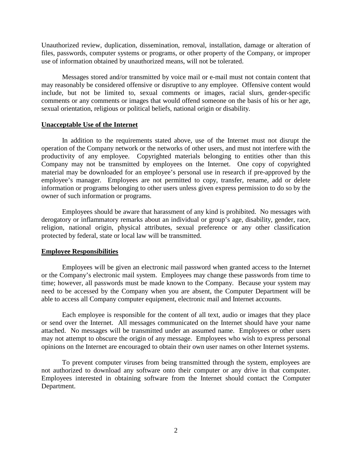Unauthorized review, duplication, dissemination, removal, installation, damage or alteration of files, passwords, computer systems or programs, or other property of the Company, or improper use of information obtained by unauthorized means, will not be tolerated.

Messages stored and/or transmitted by voice mail or e-mail must not contain content that may reasonably be considered offensive or disruptive to any employee. Offensive content would include, but not be limited to, sexual comments or images, racial slurs, gender-specific comments or any comments or images that would offend someone on the basis of his or her age, sexual orientation, religious or political beliefs, national origin or disability.

### **Unacceptable Use of the Internet**

 In addition to the requirements stated above, use of the Internet must not disrupt the operation of the Company network or the networks of other users, and must not interfere with the productivity of any employee. Copyrighted materials belonging to entities other than this Company may not be transmitted by employees on the Internet. One copy of copyrighted material may be downloaded for an employee's personal use in research if pre-approved by the employee's manager. Employees are not permitted to copy, transfer, rename, add or delete information or programs belonging to other users unless given express permission to do so by the owner of such information or programs.

 Employees should be aware that harassment of any kind is prohibited. No messages with derogatory or inflammatory remarks about an individual or group's age, disability, gender, race, religion, national origin, physical attributes, sexual preference or any other classification protected by federal, state or local law will be transmitted.

### **Employee Responsibilities**

 Employees will be given an electronic mail password when granted access to the Internet or the Company's electronic mail system. Employees may change these passwords from time to time; however, all passwords must be made known to the Company. Because your system may need to be accessed by the Company when you are absent, the Computer Department will be able to access all Company computer equipment, electronic mail and Internet accounts.

 Each employee is responsible for the content of all text, audio or images that they place or send over the Internet. All messages communicated on the Internet should have your name attached. No messages will be transmitted under an assumed name. Employees or other users may not attempt to obscure the origin of any message. Employees who wish to express personal opinions on the Internet are encouraged to obtain their own user names on other Internet systems.

 To prevent computer viruses from being transmitted through the system, employees are not authorized to download any software onto their computer or any drive in that computer. Employees interested in obtaining software from the Internet should contact the Computer Department.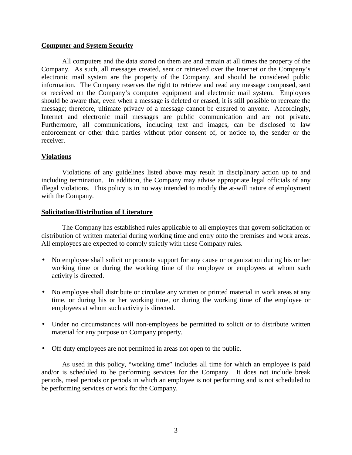## **Computer and System Security**

 All computers and the data stored on them are and remain at all times the property of the Company. As such, all messages created, sent or retrieved over the Internet or the Company's electronic mail system are the property of the Company, and should be considered public information. The Company reserves the right to retrieve and read any message composed, sent or received on the Company's computer equipment and electronic mail system. Employees should be aware that, even when a message is deleted or erased, it is still possible to recreate the message; therefore, ultimate privacy of a message cannot be ensured to anyone. Accordingly, Internet and electronic mail messages are public communication and are not private. Furthermore, all communications, including text and images, can be disclosed to law enforcement or other third parties without prior consent of, or notice to, the sender or the receiver.

## **Violations**

 Violations of any guidelines listed above may result in disciplinary action up to and including termination. In addition, the Company may advise appropriate legal officials of any illegal violations. This policy is in no way intended to modify the at-will nature of employment with the Company.

## **Solicitation/Distribution of Literature**

 The Company has established rules applicable to all employees that govern solicitation or distribution of written material during working time and entry onto the premises and work areas. All employees are expected to comply strictly with these Company rules.

- No employee shall solicit or promote support for any cause or organization during his or her working time or during the working time of the employee or employees at whom such activity is directed.
- No employee shall distribute or circulate any written or printed material in work areas at any time, or during his or her working time, or during the working time of the employee or employees at whom such activity is directed.
- Under no circumstances will non-employees be permitted to solicit or to distribute written material for any purpose on Company property.
- Off duty employees are not permitted in areas not open to the public.

As used in this policy, "working time" includes all time for which an employee is paid and/or is scheduled to be performing services for the Company. It does not include break periods, meal periods or periods in which an employee is not performing and is not scheduled to be performing services or work for the Company.